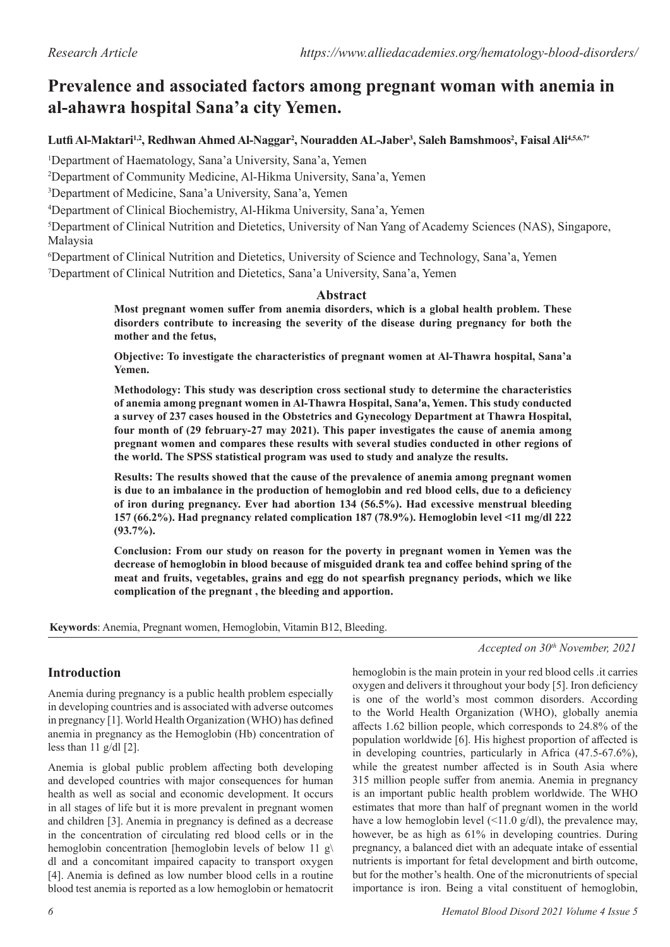# **Prevalence and associated factors among pregnant woman with anemia in al-ahawra hospital Sana'a city Yemen.**

**Lutfi Al-Maktari1,2, Redhwan Ahmed Al-Naggar<sup>2</sup> , Nouradden AL-Jaber<sup>3</sup> , Saleh Bamshmoos2 , Faisal Ali4,5,6,7\***

1 Department of Haematology, Sana'a University, Sana'a, Yemen

2 Department of Community Medicine, Al-Hikma University, Sana'a, Yemen

3 Department of Medicine, Sana'a University, Sana'a, Yemen

4 Department of Clinical Biochemistry, Al-Hikma University, Sana'a, Yemen

5 Department of Clinical Nutrition and Dietetics, University of Nan Yang of Academy Sciences (NAS), Singapore, Malaysia

6 Department of Clinical Nutrition and Dietetics, University of Science and Technology, Sana'a, Yemen 7 Department of Clinical Nutrition and Dietetics, Sana'a University, Sana'a, Yemen

#### **Abstract**

**Most pregnant women suffer from anemia disorders, which is a global health problem. These disorders contribute to increasing the severity of the disease during pregnancy for both the mother and the fetus,** 

**Objective: To investigate the characteristics of pregnant women at Al-Thawra hospital, Sana'a Yemen.** 

**Methodology: This study was description cross sectional study to determine the characteristics of anemia among pregnant women in Al-Thawra Hospital, Sana'a, Yemen. This study conducted a survey of 237 cases housed in the Obstetrics and Gynecology Department at Thawra Hospital, four month of (29 february-27 may 2021). This paper investigates the cause of anemia among pregnant women and compares these results with several studies conducted in other regions of the world. The SPSS statistical program was used to study and analyze the results.** 

**Results: The results showed that the cause of the prevalence of anemia among pregnant women is due to an imbalance in the production of hemoglobin and red blood cells, due to a deficiency of iron during pregnancy. Ever had abortion 134 (56.5%). Had excessive menstrual bleeding 157 (66.2%). Had pregnancy related complication 187 (78.9%). Hemoglobin level <11 mg/dl 222 (93.7%).** 

**Conclusion: From our study on reason for the poverty in pregnant women in Yemen was the decrease of hemoglobin in blood because of misguided drank tea and coffee behind spring of the meat and fruits, vegetables, grains and egg do not spearfish pregnancy periods, which we like complication of the pregnant , the bleeding and apportion.**

**Keywords**: Anemia, Pregnant women, Hemoglobin, Vitamin B12, Bleeding.

*Accepted on 30th November, 2021*

## **Introduction**

Anemia during pregnancy is a public health problem especially in developing countries and is associated with adverse outcomes in pregnancy [1]. World Health Organization (WHO) has defined anemia in pregnancy as the Hemoglobin (Hb) concentration of less than  $11 \text{ g/d}$  [2].

Anemia is global public problem affecting both developing and developed countries with major consequences for human health as well as social and economic development. It occurs in all stages of life but it is more prevalent in pregnant women and children [3]. Anemia in pregnancy is defined as a decrease in the concentration of circulating red blood cells or in the hemoglobin concentration [hemoglobin levels of below 11 g\ dl and a concomitant impaired capacity to transport oxygen [4]. Anemia is defined as low number blood cells in a routine blood test anemia is reported as a low hemoglobin or hematocrit hemoglobin is the main protein in your red blood cells .it carries oxygen and delivers it throughout your body [5]. Iron deficiency is one of the world's most common disorders. According to the World Health Organization (WHO), globally anemia affects 1.62 billion people, which corresponds to 24.8% of the population worldwide [6]. His highest proportion of affected is in developing countries, particularly in Africa (47.5-67.6%), while the greatest number affected is in South Asia where 315 million people suffer from anemia. Anemia in pregnancy is an important public health problem worldwide. The WHO estimates that more than half of pregnant women in the world have a low hemoglobin level  $(\leq 11.0 \text{ g/dl})$ , the prevalence may, however, be as high as 61% in developing countries. During pregnancy, a balanced diet with an adequate intake of essential nutrients is important for fetal development and birth outcome, but for the mother's health. One of the micronutrients of special importance is iron. Being a vital constituent of hemoglobin,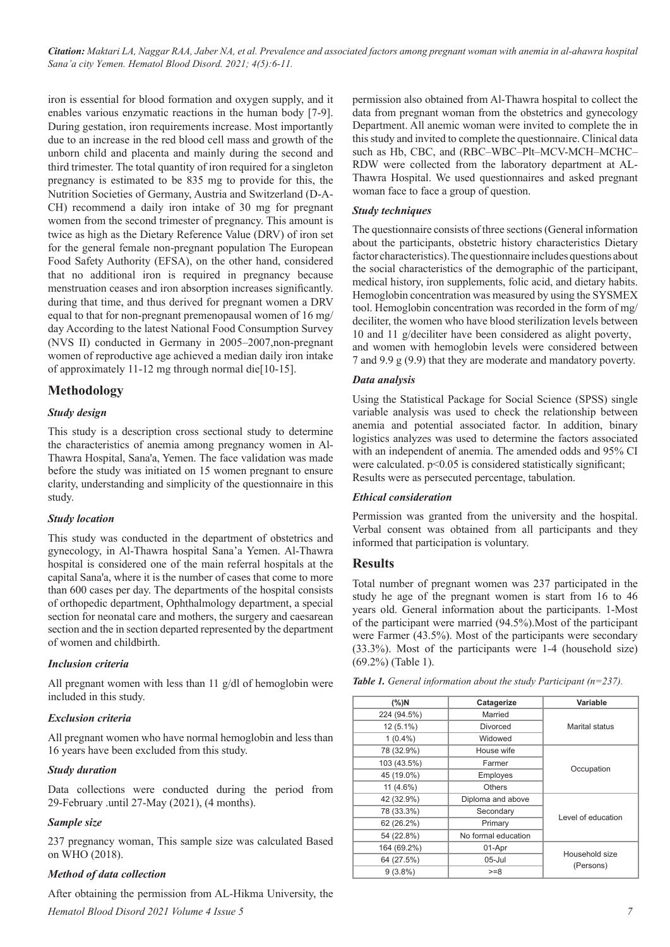*Citation: Maktari LA, Naggar RAA, Jaber NA, et al. Prevalence and associated factors among pregnant woman with anemia in al-ahawra hospital Sana'a city Yemen. Hematol Blood Disord. 2021; 4(5):6 -11.*

iron is essential for blood formation and oxygen supply, and it enables various enzymatic reactions in the human body [7-9]. During gestation, iron requirements increase. Most importantly due to an increase in the red blood cell mass and growth of the unborn child and placenta and mainly during the second and third trimester. The total quantity of iron required for a singleton pregnancy is estimated to be 835 mg to provide for this, the Nutrition Societies of Germany, Austria and Switzerland (D-A-CH) recommend a daily iron intake of 30 mg for pregnant women from the second trimester of pregnancy. This amount is twice as high as the Dietary Reference Value (DRV) of iron set for the general female non-pregnant population The European Food Safety Authority (EFSA), on the other hand, considered that no additional iron is required in pregnancy because menstruation ceases and iron absorption increases significantly. during that time, and thus derived for pregnant women a DRV equal to that for non-pregnant premenopausal women of 16 mg/ day According to the latest National Food Consumption Survey (NVS II) conducted in Germany in 2005–2007,non-pregnant women of reproductive age achieved a median daily iron intake of approximately 11-12 mg through normal die[10-15].

## **Methodology**

#### *Study design*

This study is a description cross sectional study to determine the characteristics of anemia among pregnancy women in Al-Thawra Hospital, Sana'a, Yemen. The face validation was made before the study was initiated on 15 women pregnant to ensure clarity, understanding and simplicity of the questionnaire in this study.

#### *Study location*

This study was conducted in the department of obstetrics and gynecology, in Al-Thawra hospital Sana'a Yemen. Al-Thawra hospital is considered one of the main referral hospitals at the capital Sana'a, where it is the number of cases that come to more than 600 cases per day. The departments of the hospital consists of orthopedic department, Ophthalmology department, a special section for neonatal care and mothers, the surgery and caesarean section and the in section departed represented by the department of women and childbirth.

#### *Inclusion criteria*

All pregnant women with less than 11 g/dl of hemoglobin were included in this study.

#### *Exclusion criteria*

All pregnant women who have normal hemoglobin and less than 16 years have been excluded from this study.

#### *Study duration*

Data collections were conducted during the period from 29-February .until 27-May (2021), (4 months).

#### *Sample size*

237 pregnancy woman, This sample size was calculated Based on WHO (2018).

## *Method of data collection*

After obtaining the permission from AL-Hikma University, the

*Hematol Blood Disord 2021 Volume 4 Issue 5 7*

permission also obtained from Al-Thawra hospital to collect the data from pregnant woman from the obstetrics and gynecology Department. All anemic woman were invited to complete the in this study and invited to complete the questionnaire. Clinical data such as Hb, CBC, and (RBC–WBC–Plt–MCV-MCH–MCHC– RDW were collected from the laboratory department at AL-Thawra Hospital. We used questionnaires and asked pregnant woman face to face a group of question.

#### *Study techniques*

The questionnaire consists of three sections (General information about the participants, obstetric history characteristics Dietary factor characteristics). The questionnaire includes questions about the social characteristics of the demographic of the participant, medical history, iron supplements, folic acid, and dietary habits. Hemoglobin concentration was measured by using the SYSMEX tool. Hemoglobin concentration was recorded in the form of mg/ deciliter, the women who have blood sterilization levels between 10 and 11 g/deciliter have been considered as alight poverty, and women with hemoglobin levels were considered between 7 and 9.9 g (9.9) that they are moderate and mandatory poverty.

#### *Data analysis*

Using the Statistical Package for Social Science (SPSS) single variable analysis was used to check the relationship between anemia and potential associated factor. In addition, binary logistics analyzes was used to determine the factors associated with an independent of anemia. The amended odds and 95% CI were calculated. p<0.05 is considered statistically significant; Results were as persecuted percentage, tabulation.

#### *Ethical consideration*

Permission was granted from the university and the hospital. Verbal consent was obtained from all participants and they informed that participation is voluntary.

## **Results**

Total number of pregnant women was 237 participated in the study he age of the pregnant women is start from 16 to 46 years old. General information about the participants. 1-Most of the participant were married (94.5%).Most of the participant were Farmer (43.5%). Most of the participants were secondary (33.3%). Most of the participants were 1-4 (household size) (69.2%) (Table 1).

|  | Table 1. General information about the study Participant ( $n=237$ ). |  |  |
|--|-----------------------------------------------------------------------|--|--|
|  |                                                                       |  |  |

| $(\%)N$               | Catagerize                 | Variable           |  |
|-----------------------|----------------------------|--------------------|--|
| 224 (94.5%)           | Married                    |                    |  |
| $12(5.1\%)$           | Divorced<br>Marital status |                    |  |
| $1(0.4\%)$            | Widowed                    |                    |  |
| 78 (32.9%)            | House wife                 |                    |  |
| 103 (43.5%)           | Farmer                     | Occupation         |  |
| 45 (19.0%)            | Employes                   |                    |  |
| 11 (4.6%)             | Others                     |                    |  |
| 42 (32.9%)            | Diploma and above          |                    |  |
| 78 (33.3%)            | Secondary                  | Level of education |  |
| 62 (26.2%)            | Primary                    |                    |  |
| 54 (22.8%)            | No formal education        |                    |  |
| 164 (69.2%)<br>01-Apr |                            | Household size     |  |
| 64 (27.5%)            | $05 -$ Jul                 | (Persons)          |  |
| $9(3.8\%)$            | $>=8$                      |                    |  |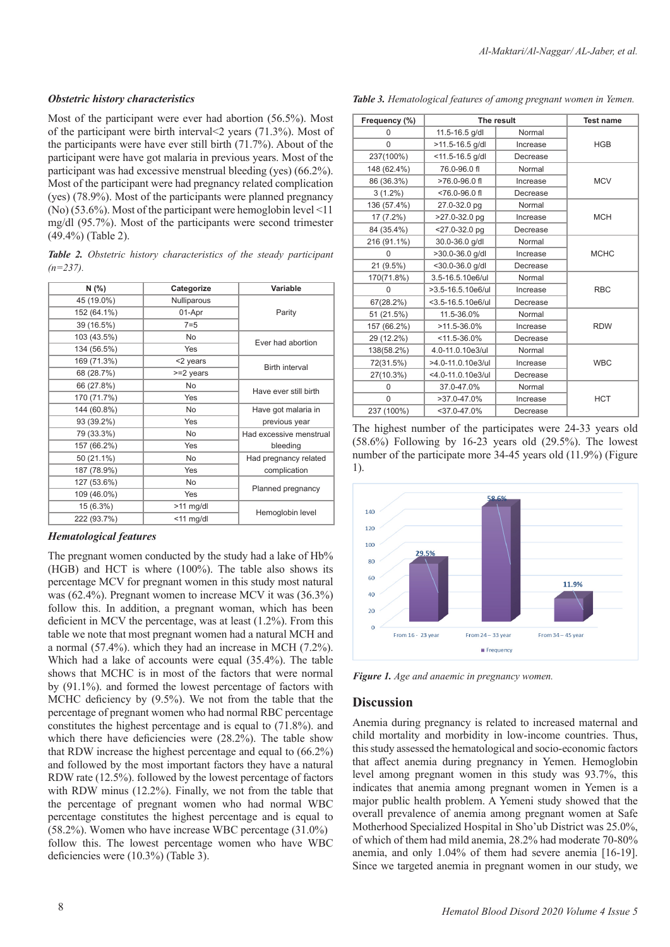#### *Obstetric history characteristics*

Most of the participant were ever had abortion (56.5%). Most of the participant were birth interval<2 years (71.3%). Most of the participants were have ever still birth (71.7%). About of the participant were have got malaria in previous years. Most of the participant was had excessive menstrual bleeding (yes) (66.2%). Most of the participant were had pregnancy related complication (yes) (78.9%). Most of the participants were planned pregnancy (No) (53.6%). Most of the participant were hemoglobin level <11 mg/dl (95.7%). Most of the participants were second trimester (49.4%) (Table 2).

*Table 2. Obstetric history characteristics of the steady participant (n=237).*

| N(% )       | Categorize   | Variable                |  |
|-------------|--------------|-------------------------|--|
| 45 (19.0%)  | Nulliparous  |                         |  |
| 152 (64.1%) | 01-Apr       | Parity                  |  |
| 39 (16.5%)  | $7=5$        |                         |  |
| 103 (43.5%) | No           | Ever had abortion       |  |
| 134 (56.5%) | Yes          |                         |  |
| 169 (71.3%) | <2 years     | <b>Birth interval</b>   |  |
| 68 (28.7%)  | >=2 years    |                         |  |
| 66 (27.8%)  | No           |                         |  |
| 170 (71.7%) | Yes          | Have ever still birth   |  |
| 144 (60.8%) | No           | Have got malaria in     |  |
| 93 (39.2%)  | Yes          | previous year           |  |
| 79 (33.3%)  | No           | Had excessive menstrual |  |
| 157 (66.2%) | Yes          | bleeding                |  |
| 50 (21.1%)  | No           | Had pregnancy related   |  |
| 187 (78.9%) | Yes          | complication            |  |
| 127 (53.6%) | No           | Planned pregnancy       |  |
| 109 (46.0%) | Yes          |                         |  |
| 15 (6.3%)   | $>11$ mg/dl  | Hemoglobin level        |  |
| 222 (93.7%) | $<$ 11 mg/dl |                         |  |

#### *Hematological features*

The pregnant women conducted by the study had a lake of Hb% (HGB) and HCT is where (100%). The table also shows its percentage MCV for pregnant women in this study most natural was (62.4%). Pregnant women to increase MCV it was (36.3%) follow this. In addition, a pregnant woman, which has been deficient in MCV the percentage, was at least (1.2%). From this table we note that most pregnant women had a natural MCH and a normal (57.4%). which they had an increase in MCH (7.2%). Which had a lake of accounts were equal (35.4%). The table shows that MCHC is in most of the factors that were normal by (91.1%). and formed the lowest percentage of factors with MCHC deficiency by (9.5%). We not from the table that the percentage of pregnant women who had normal RBC percentage constitutes the highest percentage and is equal to (71.8%). and which there have deficiencies were (28.2%). The table show that RDW increase the highest percentage and equal to (66.2%) and followed by the most important factors they have a natural RDW rate (12.5%). followed by the lowest percentage of factors with RDW minus (12.2%). Finally, we not from the table that the percentage of pregnant women who had normal WBC percentage constitutes the highest percentage and is equal to follow this. The lowest percentage women who have WBC deficiencies were (10.3%) (Table 3). (58.2%). Women who have increase WBC percentage (31.0%)

*Table 3. Hematological features of among pregnant women in Yemen.*

| Frequency (%) | The result           |          | <b>Test name</b> |  |
|---------------|----------------------|----------|------------------|--|
| 0             | 11.5-16.5 g/dl       | Normal   |                  |  |
| $\Omega$      | >11.5-16.5 g/dl      | Increase | <b>HGB</b>       |  |
| 237(100%)     | <11.5-16.5 g/dl      | Decrease |                  |  |
| 148 (62.4%)   | 76.0-96.0 fl         | Normal   |                  |  |
| 86 (36.3%)    | >76.0-96.0 fl        | Increase | <b>MCV</b>       |  |
| $3(1.2\%)$    | $< 76.0 - 96.0$ fl   | Decrease |                  |  |
| 136 (57.4%)   | 27.0-32.0 pg         | Normal   |                  |  |
| 17 (7.2%)     | >27.0-32.0 pg        | Increase | <b>MCH</b>       |  |
| 84 (35.4%)    | <27.0-32.0 pg        | Decrease |                  |  |
| 216 (91.1%)   | 30.0-36.0 g/dl       | Normal   |                  |  |
| $\Omega$      | >30.0-36.0 g/dl      | Increase | <b>MCHC</b>      |  |
| 21 (9.5%)     | <30.0-36.0 g/dl      | Decrease |                  |  |
| 170(71.8%)    | 3.5-16.5.10e6/ul     | Normal   | <b>RBC</b>       |  |
| 0             | >3.5-16.5.10e6/ul    | Increase |                  |  |
| 67(28.2%)     | $<$ 3.5-16.5.10e6/ul | Decrease |                  |  |
| 51 (21.5%)    | 11.5-36.0%           | Normal   |                  |  |
| 157 (66.2%)   | $>11.5 - 36.0\%$     | Increase | <b>RDW</b>       |  |
| 29 (12.2%)    | $< 11.5 - 36.0\%$    | Decrease |                  |  |
| 138(58.2%)    | 4.0-11.0.10e3/ul     | Normal   |                  |  |
| 72(31.5%)     | >4.0-11.0.10e3/ul    | Increase | <b>WBC</b>       |  |
| 27(10.3%)     | <4.0-11.0.10e3/ul    | Decrease |                  |  |
| $\Omega$      | 37.0-47.0%           | Normal   |                  |  |
| $\Omega$      | >37.0-47.0%          | Increase | <b>HCT</b>       |  |
| 237 (100%)    | $<$ 37.0-47.0%       | Decrease |                  |  |

The highest number of the participates were 24-33 years old  $(58.6%)$  Following by 16-23 years old  $(29.5%)$ . The lowest number of the participate more 34-45 years old (11.9%) (Figure 1).



*Figure 1. Age and anaemic in pregnancy women.* 

#### **Discussion**

Anemia during pregnancy is related to increased maternal and child mortality and morbidity in low-income countries. Thus, this study assessed the hematological and socio-economic factors that affect anemia during pregnancy in Yemen. Hemoglobin level among pregnant women in this study was 93.7%, this indicates that anemia among pregnant women in Yemen is a major public health problem. A Yemeni study showed that the overall prevalence of anemia among pregnant women at Safe Motherhood Specialized Hospital in Sho'ub District was 25.0%, of which of them had mild anemia, 28.2% had moderate 70-80% anemia, and only 1.04% of them had severe anemia [16-19]. Since we targeted anemia in pregnant women in our study, we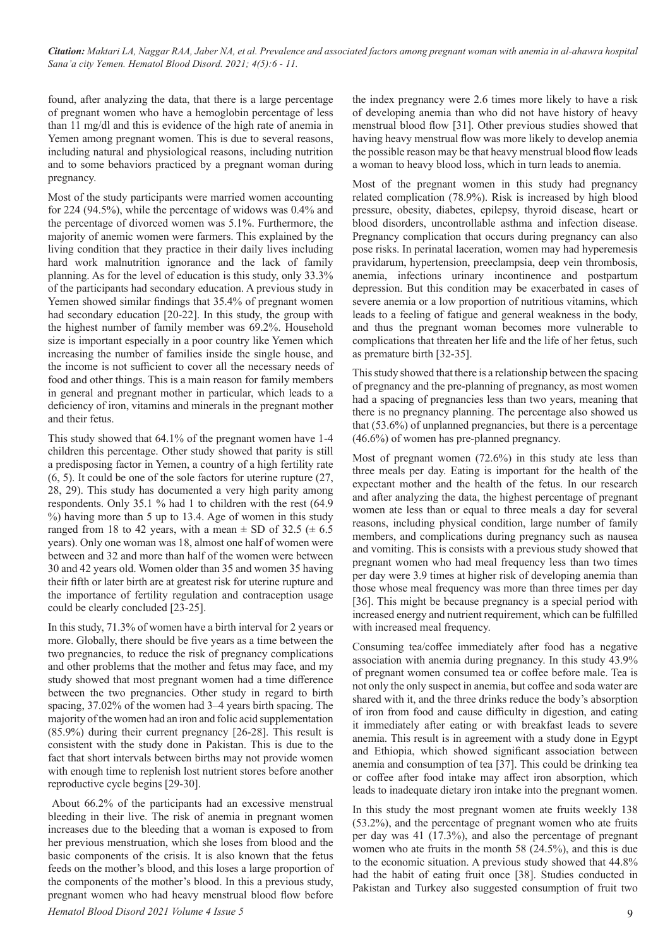*Citation: Maktari LA, Naggar RAA, Jaber NA, et al. Prevalence and associated factors among pregnant woman with anemia in al-ahawra hospital Sana'a city Yemen. Hematol Blood Disord. 2021; 4(5):6 - 11.*

found, after analyzing the data, that there is a large percentage of pregnant women who have a hemoglobin percentage of less than 11 mg/dl and this is evidence of the high rate of anemia in Yemen among pregnant women. This is due to several reasons, including natural and physiological reasons, including nutrition and to some behaviors practiced by a pregnant woman during pregnancy.

Most of the study participants were married women accounting for 224 (94.5%), while the percentage of widows was 0.4% and the percentage of divorced women was 5.1%. Furthermore, the majority of anemic women were farmers. This explained by the living condition that they practice in their daily lives including hard work malnutrition ignorance and the lack of family planning. As for the level of education is this study, only 33.3% of the participants had secondary education. A previous study in Yemen showed similar findings that 35.4% of pregnant women had secondary education [20-22]. In this study, the group with the highest number of family member was 69.2%. Household size is important especially in a poor country like Yemen which increasing the number of families inside the single house, and the income is not sufficient to cover all the necessary needs of food and other things. This is a main reason for family members in general and pregnant mother in particular, which leads to a deficiency of iron, vitamins and minerals in the pregnant mother and their fetus.

This study showed that 64.1% of the pregnant women have 1-4 children this percentage. Other study showed that parity is still a predisposing factor in Yemen, a country of a high fertility rate (6, 5). It could be one of the sole factors for uterine rupture (27, 28, 29). This study has documented a very high parity among respondents. Only 35.1 % had 1 to children with the rest (64.9 %) having more than 5 up to 13.4. Age of women in this study ranged from 18 to 42 years, with a mean  $\pm$  SD of 32.5 ( $\pm$  6.5 years). Only one woman was 18, almost one half of women were between and 32 and more than half of the women were between 30 and 42 years old. Women older than 35 and women 35 having their fifth or later birth are at greatest risk for uterine rupture and the importance of fertility regulation and contraception usage could be clearly concluded [23-25].

In this study, 71.3% of women have a birth interval for 2 years or more. Globally, there should be five years as a time between the two pregnancies, to reduce the risk of pregnancy complications and other problems that the mother and fetus may face, and my study showed that most pregnant women had a time difference between the two pregnancies. Other study in regard to birth spacing, 37.02% of the women had 3–4 years birth spacing. The majority of the women had an iron and folic acid supplementation (85.9%) during their current pregnancy [26-28]. This result is consistent with the study done in Pakistan. This is due to the fact that short intervals between births may not provide women with enough time to replenish lost nutrient stores before another reproductive cycle begins [29-30].

 About 66.2% of the participants had an excessive menstrual bleeding in their live. The risk of anemia in pregnant women increases due to the bleeding that a woman is exposed to from her previous menstruation, which she loses from blood and the basic components of the crisis. It is also known that the fetus feeds on the mother's blood, and this loses a large proportion of the components of the mother's blood. In this a previous study, pregnant women who had heavy menstrual blood flow before the index pregnancy were 2.6 times more likely to have a risk of developing anemia than who did not have history of heavy menstrual blood flow [31]. Other previous studies showed that having heavy menstrual flow was more likely to develop anemia the possible reason may be that heavy menstrual blood flow leads a woman to heavy blood loss, which in turn leads to anemia.

Most of the pregnant women in this study had pregnancy related complication (78.9%). Risk is increased by high blood pressure, obesity, diabetes, epilepsy, thyroid disease, heart or blood disorders, uncontrollable asthma and infection disease. Pregnancy complication that occurs during pregnancy can also pose risks. In perinatal laceration, women may had hyperemesis pravidarum, hypertension, preeclampsia, deep vein thrombosis, anemia, infections urinary incontinence and postpartum depression. But this condition may be exacerbated in cases of severe anemia or a low proportion of nutritious vitamins, which leads to a feeling of fatigue and general weakness in the body, and thus the pregnant woman becomes more vulnerable to complications that threaten her life and the life of her fetus, such as premature birth [32-35].

This study showed that there is a relationship between the spacing of pregnancy and the pre-planning of pregnancy, as most women had a spacing of pregnancies less than two years, meaning that there is no pregnancy planning. The percentage also showed us that (53.6%) of unplanned pregnancies, but there is a percentage (46.6%) of women has pre-planned pregnancy.

Most of pregnant women (72.6%) in this study ate less than three meals per day. Eating is important for the health of the expectant mother and the health of the fetus. In our research and after analyzing the data, the highest percentage of pregnant women ate less than or equal to three meals a day for several reasons, including physical condition, large number of family members, and complications during pregnancy such as nausea and vomiting. This is consists with a previous study showed that pregnant women who had meal frequency less than two times per day were 3.9 times at higher risk of developing anemia than those whose meal frequency was more than three times per day [36]. This might be because pregnancy is a special period with increased energy and nutrient requirement, which can be fulfilled with increased meal frequency.

Consuming tea/coffee immediately after food has a negative association with anemia during pregnancy. In this study 43.9% of pregnant women consumed tea or coffee before male. Tea is not only the only suspect in anemia, but coffee and soda water are shared with it, and the three drinks reduce the body's absorption of iron from food and cause difficulty in digestion, and eating it immediately after eating or with breakfast leads to severe anemia. This result is in agreement with a study done in Egypt and Ethiopia, which showed significant association between anemia and consumption of tea [37]. This could be drinking tea or coffee after food intake may affect iron absorption, which leads to inadequate dietary iron intake into the pregnant women.

In this study the most pregnant women ate fruits weekly 138 (53.2%), and the percentage of pregnant women who ate fruits per day was 41 (17.3%), and also the percentage of pregnant women who ate fruits in the month 58 (24.5%), and this is due to the economic situation. A previous study showed that 44.8% had the habit of eating fruit once [38]. Studies conducted in Pakistan and Turkey also suggested consumption of fruit two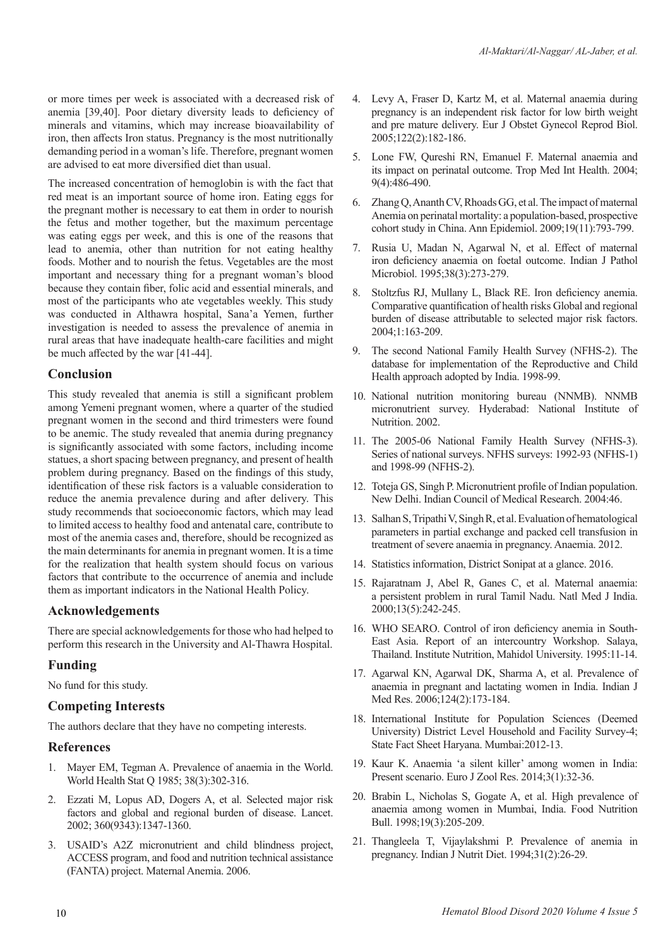or more times per week is associated with a decreased risk of anemia [39,40]. Poor dietary diversity leads to deficiency of minerals and vitamins, which may increase bioavailability of iron, then affects Iron status. Pregnancy is the most nutritionally demanding period in a woman's life. Therefore, pregnant women are advised to eat more diversified diet than usual.

The increased concentration of hemoglobin is with the fact that red meat is an important source of home iron. Eating eggs for the pregnant mother is necessary to eat them in order to nourish the fetus and mother together, but the maximum percentage was eating eggs per week, and this is one of the reasons that lead to anemia, other than nutrition for not eating healthy foods. Mother and to nourish the fetus. Vegetables are the most important and necessary thing for a pregnant woman's blood because they contain fiber, folic acid and essential minerals, and most of the participants who ate vegetables weekly. This study was conducted in Althawra hospital, Sana'a Yemen, further investigation is needed to assess the prevalence of anemia in rural areas that have inadequate health-care facilities and might be much affected by the war [41-44].

## **Conclusion**

This study revealed that anemia is still a significant problem among Yemeni pregnant women, where a quarter of the studied pregnant women in the second and third trimesters were found to be anemic. The study revealed that anemia during pregnancy is significantly associated with some factors, including income statues, a short spacing between pregnancy, and present of health problem during pregnancy. Based on the findings of this study, identification of these risk factors is a valuable consideration to reduce the anemia prevalence during and after delivery. This study recommends that socioeconomic factors, which may lead to limited access to healthy food and antenatal care, contribute to most of the anemia cases and, therefore, should be recognized as the main determinants for anemia in pregnant women. It is a time for the realization that health system should focus on various factors that contribute to the occurrence of anemia and include them as important indicators in the National Health Policy.

## **Acknowledgements**

There are special acknowledgements for those who had helped to perform this research in the University and Al-Thawra Hospital.

## **Funding**

No fund for this study.

## **Competing Interests**

The authors declare that they have no competing interests.

#### **References**

- 1. Mayer EM, Tegman A. Prevalence of anaemia in the World. World Health Stat Q 1985; 38(3):302-316.
- 2. Ezzati M, Lopus AD, Dogers A, et al. Selected major risk factors and global and regional burden of disease. Lancet. 2002; 360(9343):1347-1360.
- 3. USAID's A2Z micronutrient and child blindness project, ACCESS program, and food and nutrition technical assistance (FANTA) project. Maternal Anemia. 2006.
- 4. Levy A, Fraser D, Kartz M, et al. Maternal anaemia during pregnancy is an independent risk factor for low birth weight and pre mature delivery. Eur J Obstet Gynecol Reprod Biol. 2005;122(2):182-186.
- 5. Lone FW, Qureshi RN, Emanuel F. Maternal anaemia and its impact on perinatal outcome. Trop Med Int Health. 2004; 9(4):486-490.
- 6. Zhang Q, Ananth CV, Rhoads GG, et al. The impact of maternal Anemia on perinatal mortality: a population-based, prospective cohort study in China. Ann Epidemiol. 2009;19(11):793-799.
- 7. Rusia U, Madan N, Agarwal N, et al. Effect of maternal iron deficiency anaemia on foetal outcome. Indian J Pathol Microbiol. 1995;38(3):273-279.
- 8. Stoltzfus RJ, Mullany L, Black RE. Iron deficiency anemia. Comparative quantification of health risks Global and regional burden of disease attributable to selected major risk factors. 2004;1:163-209.
- 9. The second National Family Health Survey (NFHS-2). The database for implementation of the Reproductive and Child Health approach adopted by India. 1998-99.
- 10. National nutrition monitoring bureau (NNMB). NNMB micronutrient survey. Hyderabad: National Institute of Nutrition. 2002.
- 11. The 2005-06 National Family Health Survey (NFHS-3). Series of national surveys. NFHS surveys: 1992-93 (NFHS-1) and 1998-99 (NFHS-2).
- 12. Toteja GS, Singh P. Micronutrient profile of Indian population. New Delhi. Indian Council of Medical Research. 2004:46.
- 13. Salhan S, Tripathi V, Singh R, et al. Evaluation of hematological parameters in partial exchange and packed cell transfusion in treatment of severe anaemia in pregnancy. Anaemia. 2012.
- 14. Statistics information, District Sonipat at a glance. 2016.
- 15. Rajaratnam J, Abel R, Ganes C, et al. Maternal anaemia: a persistent problem in rural Tamil Nadu. Natl Med J India. 2000;13(5):242-245.
- 16. WHO SEARO. Control of iron deficiency anemia in South-East Asia. Report of an intercountry Workshop. Salaya, Thailand. Institute Nutrition, Mahidol University. 1995:11-14.
- 17. Agarwal KN, Agarwal DK, Sharma A, et al. Prevalence of anaemia in pregnant and lactating women in India. Indian J Med Res. 2006;124(2):173-184.
- 18. International Institute for Population Sciences (Deemed University) District Level Household and Facility Survey-4; State Fact Sheet Haryana. Mumbai:2012-13.
- 19. Kaur K. Anaemia 'a silent killer' among women in India: Present scenario. Euro J Zool Res. 2014;3(1):32-36.
- 20. Brabin L, Nicholas S, Gogate A, et al. High prevalence of anaemia among women in Mumbai, India. Food Nutrition Bull. 1998;19(3):205-209.
- 21. Thangleela T, Vijaylakshmi P. Prevalence of anemia in pregnancy. Indian J Nutrit Diet. 1994;31(2):26-29.